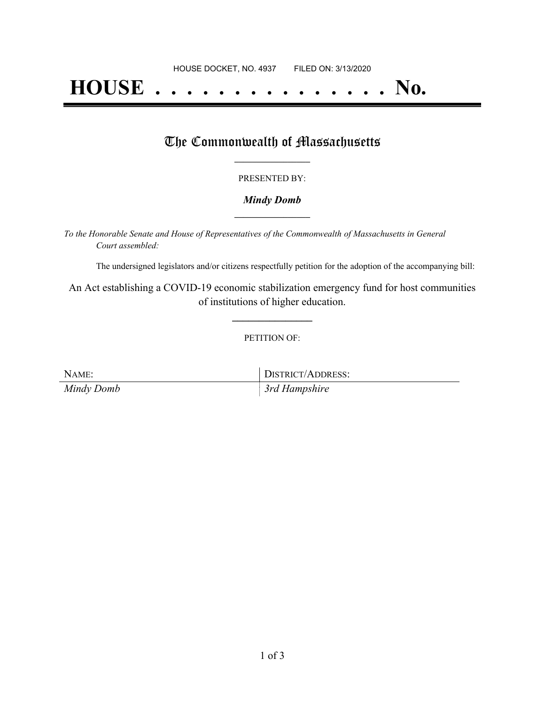# **HOUSE . . . . . . . . . . . . . . . No.**

## The Commonwealth of Massachusetts

#### PRESENTED BY:

#### *Mindy Domb* **\_\_\_\_\_\_\_\_\_\_\_\_\_\_\_\_\_**

*To the Honorable Senate and House of Representatives of the Commonwealth of Massachusetts in General Court assembled:*

The undersigned legislators and/or citizens respectfully petition for the adoption of the accompanying bill:

An Act establishing a COVID-19 economic stabilization emergency fund for host communities of institutions of higher education.

**\_\_\_\_\_\_\_\_\_\_\_\_\_\_\_**

#### PETITION OF:

NAME: DISTRICT/ADDRESS: *Mindy Domb 3rd Hampshire*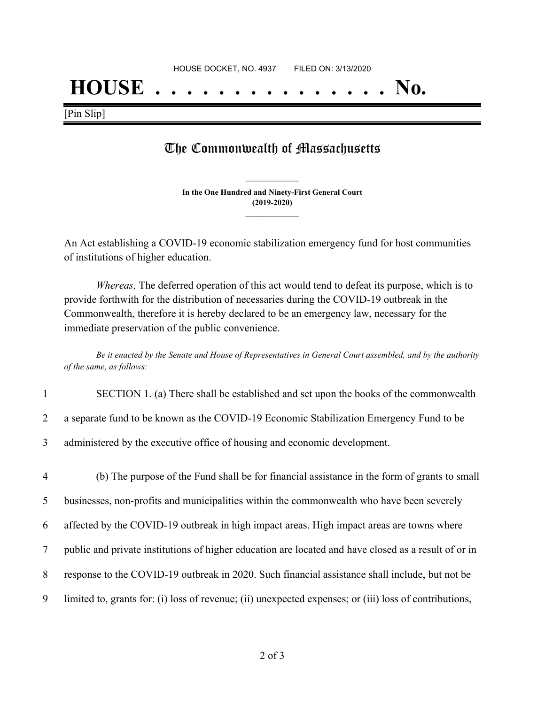# **HOUSE . . . . . . . . . . . . . . . No.**

[Pin Slip]

## The Commonwealth of Massachusetts

**In the One Hundred and Ninety-First General Court (2019-2020) \_\_\_\_\_\_\_\_\_\_\_\_\_\_\_**

**\_\_\_\_\_\_\_\_\_\_\_\_\_\_\_**

An Act establishing a COVID-19 economic stabilization emergency fund for host communities of institutions of higher education.

*Whereas,* The deferred operation of this act would tend to defeat its purpose, which is to provide forthwith for the distribution of necessaries during the COVID-19 outbreak in the Commonwealth, therefore it is hereby declared to be an emergency law, necessary for the immediate preservation of the public convenience.

Be it enacted by the Senate and House of Representatives in General Court assembled, and by the authority *of the same, as follows:*

| SECTION 1. (a) There shall be established and set upon the books of the commonwealth |  |
|--------------------------------------------------------------------------------------|--|
|--------------------------------------------------------------------------------------|--|

2 a separate fund to be known as the COVID-19 Economic Stabilization Emergency Fund to be

3 administered by the executive office of housing and economic development.

 (b) The purpose of the Fund shall be for financial assistance in the form of grants to small businesses, non-profits and municipalities within the commonwealth who have been severely affected by the COVID-19 outbreak in high impact areas. High impact areas are towns where public and private institutions of higher education are located and have closed as a result of or in response to the COVID-19 outbreak in 2020. Such financial assistance shall include, but not be limited to, grants for: (i) loss of revenue; (ii) unexpected expenses; or (iii) loss of contributions,